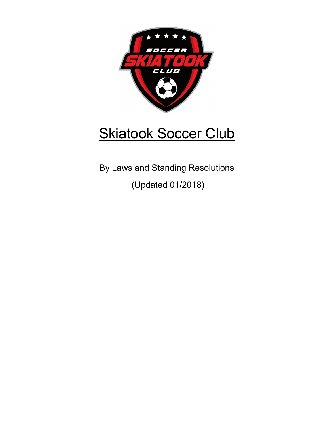

# **Skiatook Soccer Club**

By Laws and Standing Resolutions (Updated 01/2018)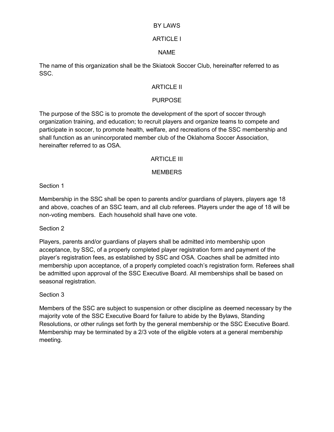#### BY LAWS

### ARTICLE I

#### NAME

The name of this organization shall be the Skiatook Soccer Club, hereinafter referred to as SSC.

### ARTICLE II

## PURPOSE

The purpose of the SSC is to promote the development of the sport of soccer through organization training, and education; to recruit players and organize teams to compete and participate in soccer, to promote health, welfare, and recreations of the SSC membership and shall function as an unincorporated member club of the Oklahoma Soccer Association, hereinafter referred to as OSA.

### ARTICLE III

### **MEMBERS**

Section 1

Membership in the SSC shall be open to parents and/or guardians of players, players age 18 and above, coaches of an SSC team, and all club referees. Players under the age of 18 will be non-voting members. Each household shall have one vote.

Section 2

Players, parents and/or guardians of players shall be admitted into membership upon acceptance, by SSC, of a properly completed player registration form and payment of the player's registration fees, as established by SSC and OSA. Coaches shall be admitted into membership upon acceptance, of a properly completed coach's registration form. Referees shall be admitted upon approval of the SSC Executive Board. All memberships shall be based on seasonal registration.

#### Section 3

Members of the SSC are subject to suspension or other discipline as deemed necessary by the majority vote of the SSC Executive Board for failure to abide by the Bylaws, Standing Resolutions, or other rulings set forth by the general membership or the SSC Executive Board. Membership may be terminated by a 2/3 vote of the eligible voters at a general membership meeting.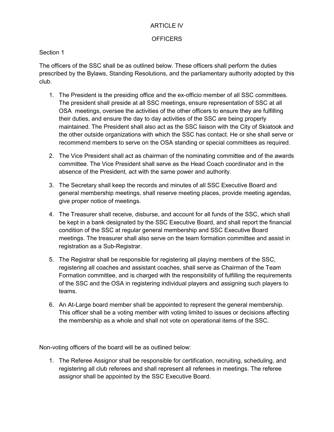### ARTICLE IV

#### OFFICERS

### Section 1

The officers of the SSC shall be as outlined below. These officers shall perform the duties prescribed by the Bylaws, Standing Resolutions, and the parliamentary authority adopted by this club.

- 1. The President is the presiding office and the ex-officio member of all SSC committees. The president shall preside at all SSC meetings, ensure representation of SSC at all OSA meetings, oversee the activities of the other officers to ensure they are fulfilling their duties, and ensure the day to day activities of the SSC are being properly maintained. The President shall also act as the SSC liaison with the City of Skiatook and the other outside organizations with which the SSC has contact. He or she shall serve or recommend members to serve on the OSA standing or special committees as required.
- 2. The Vice President shall act as chairman of the nominating committee and of the awards committee. The Vice President shall serve as the Head Coach coordinator and in the absence of the President, act with the same power and authority.
- 3. The Secretary shall keep the records and minutes of all SSC Executive Board and general membership meetings, shall reserve meeting places, provide meeting agendas, give proper notice of meetings.
- 4. The Treasurer shall receive, disburse, and account for all funds of the SSC, which shall be kept in a bank designated by the SSC Executive Board, and shall report the financial condition of the SSC at regular general membership and SSC Executive Board meetings. The treasurer shall also serve on the team formation committee and assist in registration as a Sub-Registrar.
- 5. The Registrar shall be responsible for registering all playing members of the SSC, registering all coaches and assistant coaches, shall serve as Chairman of the Team Formation committee, and is charged with the responsibility of fulfilling the requirements of the SSC and the OSA in registering individual players and assigning such players to teams.
- 6. An At-Large board member shall be appointed to represent the general membership. This officer shall be a voting member with voting limited to issues or decisions affecting the membership as a whole and shall not vote on operational items of the SSC.

Non-voting officers of the board will be as outlined below:

1. The Referee Assignor shall be responsible for certification, recruiting, scheduling, and registering all club referees and shall represent all referees in meetings. The referee assignor shall be appointed by the SSC Executive Board.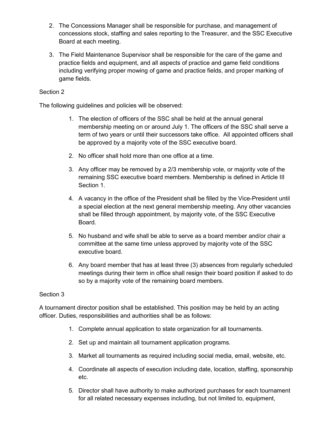- 2. The Concessions Manager shall be responsible for purchase, and management of concessions stock, staffing and sales reporting to the Treasurer, and the SSC Executive Board at each meeting.
- 3. The Field Maintenance Supervisor shall be responsible for the care of the game and practice fields and equipment, and all aspects of practice and game field conditions including verifying proper mowing of game and practice fields, and proper marking of game fields.

## Section 2

The following guidelines and policies will be observed:

- 1. The election of officers of the SSC shall be held at the annual general membership meeting on or around July 1. The officers of the SSC shall serve a term of two years or until their successors take office. All appointed officers shall be approved by a majority vote of the SSC executive board.
- 2. No officer shall hold more than one office at a time.
- 3. Any officer may be removed by a 2/3 membership vote, or majority vote of the remaining SSC executive board members. Membership is defined in Article III Section 1.
- 4. A vacancy in the office of the President shall be filled by the Vice-President until a special election at the next general membership meeting. Any other vacancies shall be filled through appointment, by majority vote, of the SSC Executive Board.
- 5. No husband and wife shall be able to serve as a board member and/or chair a committee at the same time unless approved by majority vote of the SSC executive board.
- 6. Any board member that has at least three (3) absences from regularly scheduled meetings during their term in office shall resign their board position if asked to do so by a majority vote of the remaining board members.

#### Section 3

A tournament director position shall be established. This position may be held by an acting officer. Duties, responsibilities and authorities shall be as follows:

- 1. Complete annual application to state organization for all tournaments.
- 2. Set up and maintain all tournament application programs.
- 3. Market all tournaments as required including social media, email, website, etc.
- 4. Coordinate all aspects of execution including date, location, staffing, sponsorship etc.
- 5. Director shall have authority to make authorized purchases for each tournament for all related necessary expenses including, but not limited to, equipment,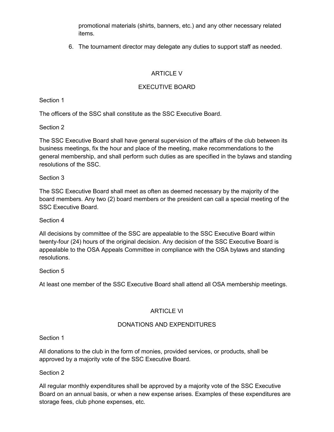promotional materials (shirts, banners, etc.) and any other necessary related items.

6. The tournament director may delegate any duties to support staff as needed.

# ARTICLE V

# EXECUTIVE BOARD

Section 1

The officers of the SSC shall constitute as the SSC Executive Board.

Section 2

The SSC Executive Board shall have general supervision of the affairs of the club between its business meetings, fix the hour and place of the meeting, make recommendations to the general membership, and shall perform such duties as are specified in the bylaws and standing resolutions of the SSC.

### Section 3

The SSC Executive Board shall meet as often as deemed necessary by the majority of the board members. Any two (2) board members or the president can call a special meeting of the SSC Executive Board.

## Section 4

All decisions by committee of the SSC are appealable to the SSC Executive Board within twenty-four (24) hours of the original decision. Any decision of the SSC Executive Board is appealable to the OSA Appeals Committee in compliance with the OSA bylaws and standing resolutions.

## Section 5

At least one member of the SSC Executive Board shall attend all OSA membership meetings.

## ARTICLE VI

## DONATIONS AND EXPENDITURES

Section 1

All donations to the club in the form of monies, provided services, or products, shall be approved by a majority vote of the SSC Executive Board.

## Section 2

All regular monthly expenditures shall be approved by a majority vote of the SSC Executive Board on an annual basis, or when a new expense arises. Examples of these expenditures are storage fees, club phone expenses, etc.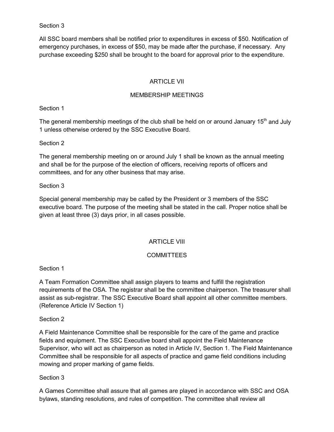#### Section 3

All SSC board members shall be notified prior to expenditures in excess of \$50. Notification of emergency purchases, in excess of \$50, may be made after the purchase, if necessary. Any purchase exceeding \$250 shall be brought to the board for approval prior to the expenditure.

## ARTICLE VII

## MEMBERSHIP MEETINGS

Section 1

The general membership meetings of the club shall be held on or around January 15<sup>th</sup> and July 1 unless otherwise ordered by the SSC Executive Board.

## Section 2

The general membership meeting on or around July 1 shall be known as the annual meeting and shall be for the purpose of the election of officers, receiving reports of officers and committees, and for any other business that may arise.

## Section 3

Special general membership may be called by the President or 3 members of the SSC executive board. The purpose of the meeting shall be stated in the call. Proper notice shall be given at least three (3) days prior, in all cases possible.

# ARTICLE VIII

## **COMMITTEES**

Section 1

A Team Formation Committee shall assign players to teams and fulfill the registration requirements of the OSA. The registrar shall be the committee chairperson. The treasurer shall assist as sub-registrar. The SSC Executive Board shall appoint all other committee members. (Reference Article IV Section 1)

## Section 2

A Field Maintenance Committee shall be responsible for the care of the game and practice fields and equipment. The SSC Executive board shall appoint the Field Maintenance Supervisor, who will act as chairperson as noted in Article IV, Section 1. The Field Maintenance Committee shall be responsible for all aspects of practice and game field conditions including mowing and proper marking of game fields.

## Section 3

A Games Committee shall assure that all games are played in accordance with SSC and OSA bylaws, standing resolutions, and rules of competition. The committee shall review all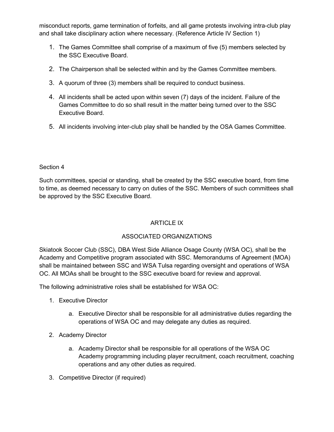misconduct reports, game termination of forfeits, and all game protests involving intra-club play and shall take disciplinary action where necessary. (Reference Article IV Section 1)

- 1. The Games Committee shall comprise of a maximum of five (5) members selected by the SSC Executive Board.
- 2. The Chairperson shall be selected within and by the Games Committee members.
- 3. A quorum of three (3) members shall be required to conduct business.
- 4. All incidents shall be acted upon within seven (7) days of the incident. Failure of the Games Committee to do so shall result in the matter being turned over to the SSC Executive Board.
- 5. All incidents involving inter-club play shall be handled by the OSA Games Committee.

### Section 4

Such committees, special or standing, shall be created by the SSC executive board, from time to time, as deemed necessary to carry on duties of the SSC. Members of such committees shall be approved by the SSC Executive Board.

# ARTICLE IX

## ASSOCIATED ORGANIZATIONS

Skiatook Soccer Club (SSC), DBA West Side Alliance Osage County (WSA OC), shall be the Academy and Competitive program associated with SSC. Memorandums of Agreement (MOA) shall be maintained between SSC and WSA Tulsa regarding oversight and operations of WSA OC. All MOAs shall be brought to the SSC executive board for review and approval.

The following administrative roles shall be established for WSA OC:

- 1. Executive Director
	- a. Executive Director shall be responsible for all administrative duties regarding the operations of WSA OC and may delegate any duties as required.
- 2. Academy Director
	- a. Academy Director shall be responsible for all operations of the WSA OC Academy programming including player recruitment, coach recruitment, coaching operations and any other duties as required.
- 3. Competitive Director (if required)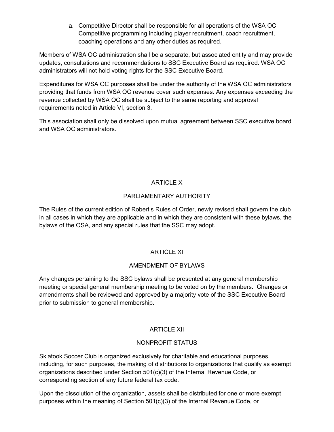a. Competitive Director shall be responsible for all operations of the WSA OC Competitive programming including player recruitment, coach recruitment, coaching operations and any other duties as required.

Members of WSA OC administration shall be a separate, but associated entity and may provide updates, consultations and recommendations to SSC Executive Board as required. WSA OC administrators will not hold voting rights for the SSC Executive Board.

Expenditures for WSA OC purposes shall be under the authority of the WSA OC administrators providing that funds from WSA OC revenue cover such expenses. Any expenses exceeding the revenue collected by WSA OC shall be subject to the same reporting and approval requirements noted in Article VI, section 3.

This association shall only be dissolved upon mutual agreement between SSC executive board and WSA OC administrators.

# ARTICLE X

# PARLIAMENTARY AUTHORITY

The Rules of the current edition of Robert's Rules of Order, newly revised shall govern the club in all cases in which they are applicable and in which they are consistent with these bylaws, the bylaws of the OSA, and any special rules that the SSC may adopt.

## ARTICLE XI

## AMENDMENT OF BYLAWS

Any changes pertaining to the SSC bylaws shall be presented at any general membership meeting or special general membership meeting to be voted on by the members. Changes or amendments shall be reviewed and approved by a majority vote of the SSC Executive Board prior to submission to general membership.

# ARTICLE XII

## NONPROFIT STATUS

Skiatook Soccer Club is organized exclusively for charitable and educational purposes, including, for such purposes, the making of distributions to organizations that qualify as exempt organizations described under Section 501(c)(3) of the Internal Revenue Code, or corresponding section of any future federal tax code.

Upon the dissolution of the organization, assets shall be distributed for one or more exempt purposes within the meaning of Section 501(c)(3) of the Internal Revenue Code, or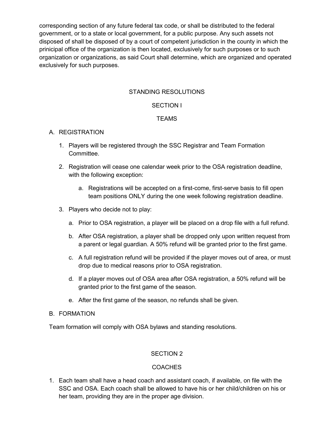corresponding section of any future federal tax code, or shall be distributed to the federal government, or to a state or local government, for a public purpose. Any such assets not disposed of shall be disposed of by a court of competent jurisdiction in the county in which the prinicipal office of the organization is then located, exclusively for such purposes or to such organization or organizations, as said Court shall determine, which are organized and operated exclusively for such purposes.

### STANDING RESOLUTIONS

#### SECTION I

### **TFAMS**

#### A. REGISTRATION

- 1. Players will be registered through the SSC Registrar and Team Formation Committee.
- 2. Registration will cease one calendar week prior to the OSA registration deadline, with the following exception:
	- a. Registrations will be accepted on a first-come, first-serve basis to fill open team positions ONLY during the one week following registration deadline.
- 3. Players who decide not to play:
	- a. Prior to OSA registration, a player will be placed on a drop file with a full refund.
	- b. After OSA registration, a player shall be dropped only upon written request from a parent or legal guardian. A 50% refund will be granted prior to the first game.
	- c. A full registration refund will be provided if the player moves out of area, or must drop due to medical reasons prior to OSA registration.
	- d. If a player moves out of OSA area after OSA registration, a 50% refund will be granted prior to the first game of the season.
	- e. After the first game of the season, no refunds shall be given.

#### B. FORMATION

Team formation will comply with OSA bylaws and standing resolutions.

#### SECTION 2

#### **COACHES**

1. Each team shall have a head coach and assistant coach, if available, on file with the SSC and OSA. Each coach shall be allowed to have his or her child/children on his or her team, providing they are in the proper age division.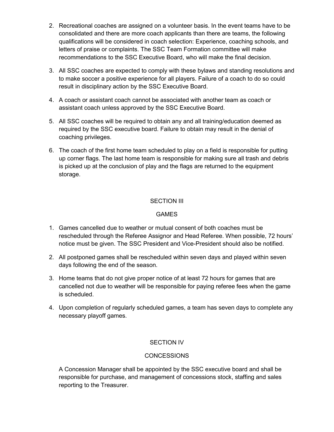- 2. Recreational coaches are assigned on a volunteer basis. In the event teams have to be consolidated and there are more coach applicants than there are teams, the following qualifications will be considered in coach selection: Experience, coaching schools, and letters of praise or complaints. The SSC Team Formation committee will make recommendations to the SSC Executive Board, who will make the final decision.
- 3. All SSC coaches are expected to comply with these bylaws and standing resolutions and to make soccer a positive experience for all players. Failure of a coach to do so could result in disciplinary action by the SSC Executive Board.
- 4. A coach or assistant coach cannot be associated with another team as coach or assistant coach unless approved by the SSC Executive Board.
- 5. All SSC coaches will be required to obtain any and all training/education deemed as required by the SSC executive board. Failure to obtain may result in the denial of coaching privileges.
- 6. The coach of the first home team scheduled to play on a field is responsible for putting up corner flags. The last home team is responsible for making sure all trash and debris is picked up at the conclusion of play and the flags are returned to the equipment storage.

## SECTION III

#### GAMES

- 1. Games cancelled due to weather or mutual consent of both coaches must be rescheduled through the Referee Assignor and Head Referee. When possible, 72 hours' notice must be given. The SSC President and Vice-President should also be notified.
- 2. All postponed games shall be rescheduled within seven days and played within seven days following the end of the season.
- 3. Home teams that do not give proper notice of at least 72 hours for games that are cancelled not due to weather will be responsible for paying referee fees when the game is scheduled.
- 4. Upon completion of regularly scheduled games, a team has seven days to complete any necessary playoff games.

#### SECTION IV

#### **CONCESSIONS**

A Concession Manager shall be appointed by the SSC executive board and shall be responsible for purchase, and management of concessions stock, staffing and sales reporting to the Treasurer.